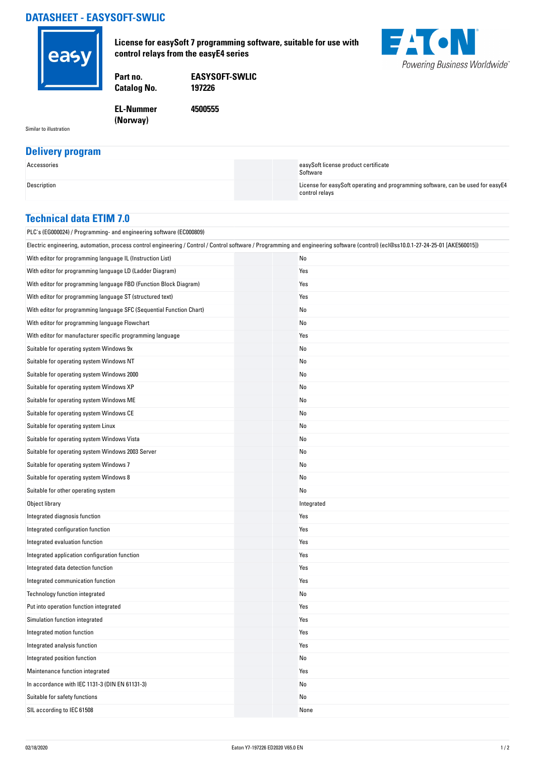## **DATASHEET - EASYSOFT-SWLIC**



**License for easySoft 7 programming software, suitable for use with control relays from the easyE4 series**



**Catalog No.** 

**Part no. EASYSOFT-SWLIC**

**4500555**

**EL-Nummer (Norway)** 

Similar to illustration

## **Delivery program**

| Accessories | easySoft license product certificate<br>Software                                                  |
|-------------|---------------------------------------------------------------------------------------------------|
| Description | License for easySoft operating and programming software, can be used for easyE4<br>control relavs |

## **Technical data ETIM 7.0**

| PLC's (EG000024) / Programming- and engineering software (EC000809)                                                                                                                |  |            |  |
|------------------------------------------------------------------------------------------------------------------------------------------------------------------------------------|--|------------|--|
| Electric engineering, automation, process control engineering / Control / Control software / Programming and engineering software (control) (ecl@ss10.0.1-27-24-25-01 [AKE560015]) |  |            |  |
| With editor for programming language IL (Instruction List)                                                                                                                         |  | No         |  |
| With editor for programming language LD (Ladder Diagram)                                                                                                                           |  | Yes        |  |
| With editor for programming language FBD (Function Block Diagram)                                                                                                                  |  | Yes        |  |
| With editor for programming language ST (structured text)                                                                                                                          |  | Yes        |  |
| With editor for programming language SFC (Sequential Function Chart)                                                                                                               |  | No         |  |
| With editor for programming language Flowchart                                                                                                                                     |  | No         |  |
| With editor for manufacturer specific programming language                                                                                                                         |  | Yes        |  |
| Suitable for operating system Windows 9x                                                                                                                                           |  | No         |  |
| Suitable for operating system Windows NT                                                                                                                                           |  | No         |  |
| Suitable for operating system Windows 2000                                                                                                                                         |  | No         |  |
| Suitable for operating system Windows XP                                                                                                                                           |  | No         |  |
| Suitable for operating system Windows ME                                                                                                                                           |  | No         |  |
| Suitable for operating system Windows CE                                                                                                                                           |  | No         |  |
| Suitable for operating system Linux                                                                                                                                                |  | No         |  |
| Suitable for operating system Windows Vista                                                                                                                                        |  | No         |  |
| Suitable for operating system Windows 2003 Server                                                                                                                                  |  | No         |  |
| Suitable for operating system Windows 7                                                                                                                                            |  | No         |  |
| Suitable for operating system Windows 8                                                                                                                                            |  | No         |  |
| Suitable for other operating system                                                                                                                                                |  | No         |  |
| Object library                                                                                                                                                                     |  | Integrated |  |
| Integrated diagnosis function                                                                                                                                                      |  | Yes        |  |
| Integrated configuration function                                                                                                                                                  |  | Yes        |  |
| Integrated evaluation function                                                                                                                                                     |  | Yes        |  |
| Integrated application configuration function                                                                                                                                      |  | Yes        |  |
| Integrated data detection function                                                                                                                                                 |  | Yes        |  |
| Integrated communication function                                                                                                                                                  |  | Yes        |  |
| Technology function integrated                                                                                                                                                     |  | No         |  |
| Put into operation function integrated                                                                                                                                             |  | Yes        |  |
| Simulation function integrated                                                                                                                                                     |  | Yes        |  |
| Integrated motion function                                                                                                                                                         |  | Yes        |  |
| Integrated analysis function                                                                                                                                                       |  | Yes        |  |
| Integrated position function                                                                                                                                                       |  | No         |  |
| Maintenance function integrated                                                                                                                                                    |  | Yes        |  |
| In accordance with IEC 1131-3 (DIN EN 61131-3)                                                                                                                                     |  | No         |  |
| Suitable for safety functions                                                                                                                                                      |  | No         |  |
| SIL according to IEC 61508                                                                                                                                                         |  | None       |  |